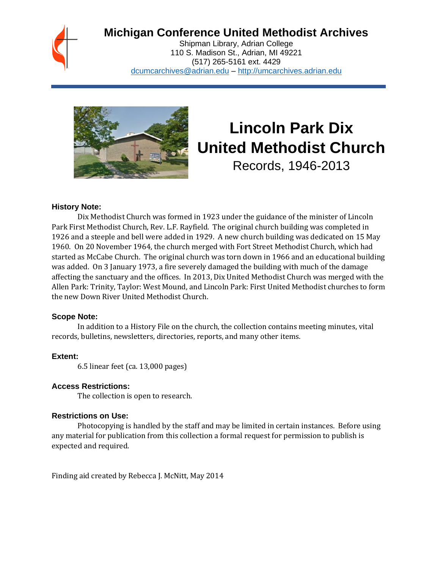

# **Michigan Conference United Methodist Archives**

Shipman Library, Adrian College 110 S. Madison St., Adrian, MI 49221 (517) 265-5161 ext. 4429 [dcumcarchives@adrian.edu](mailto:dcumcarchives@adrian.edu) – [http://umcarchives.adrian.edu](http://umcarchives.adrian.edu/)



# **Lincoln Park Dix United Methodist Church**

Records, 1946-2013

#### **History Note:**

Dix Methodist Church was formed in 1923 under the guidance of the minister of Lincoln Park First Methodist Church, Rev. L.F. Rayfield. The original church building was completed in 1926 and a steeple and bell were added in 1929. A new church building was dedicated on 15 May 1960. On 20 November 1964, the church merged with Fort Street Methodist Church, which had started as McCabe Church. The original church was torn down in 1966 and an educational building was added. On 3 January 1973, a fire severely damaged the building with much of the damage affecting the sanctuary and the offices. In 2013, Dix United Methodist Church was merged with the Allen Park: Trinity, Taylor: West Mound, and Lincoln Park: First United Methodist churches to form the new Down River United Methodist Church.

#### **Scope Note:**

In addition to a History File on the church, the collection contains meeting minutes, vital records, bulletins, newsletters, directories, reports, and many other items.

#### **Extent:**

6.5 linear feet (ca. 13,000 pages)

#### **Access Restrictions:**

The collection is open to research.

#### **Restrictions on Use:**

Photocopying is handled by the staff and may be limited in certain instances. Before using any material for publication from this collection a formal request for permission to publish is expected and required.

Finding aid created by Rebecca J. McNitt, May 2014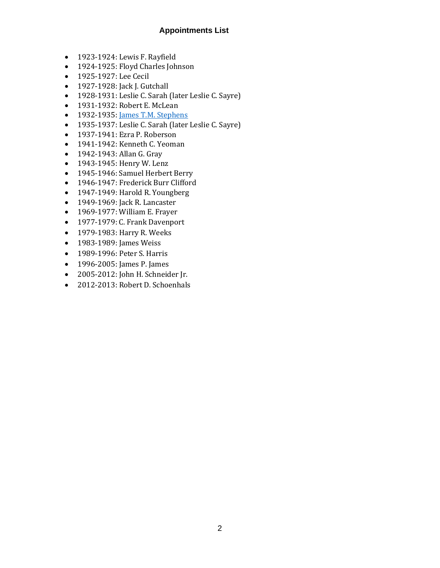## **Appointments List**

- 1923-1924: Lewis F. Rayfield
- 1924-1925: Floyd Charles Johnson
- 1925-1927: Lee Cecil
- 1927-1928: Jack J. Gutchall
- 1928-1931: Leslie C. Sarah (later Leslie C. Sayre)
- 1931-1932: Robert E. McLean
- 1932-1935[: James T.M. Stephens](http://umcarchives.adrian.edu/clergy/stephensjtm.php)
- 1935-1937: Leslie C. Sarah (later Leslie C. Sayre)
- 1937-1941: Ezra P. Roberson
- 1941-1942: Kenneth C. Yeoman
- 1942-1943: Allan G. Gray
- 1943-1945: Henry W. Lenz
- 1945-1946: Samuel Herbert Berry
- 1946-1947: Frederick Burr Clifford
- 1947-1949: Harold R. Youngberg
- 1949-1969: Jack R. Lancaster
- 1969-1977: William E. Frayer
- 1977-1979: C. Frank Davenport
- 1979-1983: Harry R. Weeks
- 1983-1989: James Weiss
- 1989-1996: Peter S. Harris
- 1996-2005: James P. James
- 2005-2012: John H. Schneider Jr.
- 2012-2013: Robert D. Schoenhals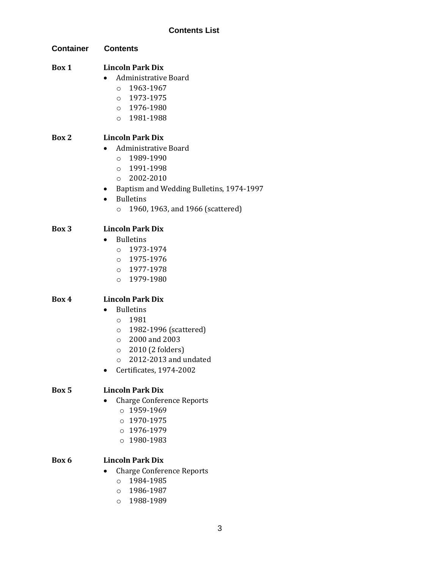| <b>Container</b> | <b>Contents</b>                                        |
|------------------|--------------------------------------------------------|
| Box 1            | <b>Lincoln Park Dix</b><br><b>Administrative Board</b> |
|                  | 1963-1967<br>$\circ$                                   |
|                  | 0 1973-1975                                            |
|                  | $0 1976 - 1980$                                        |
|                  | $0 1981 - 1988$                                        |
| Box 2            | <b>Lincoln Park Dix</b>                                |
|                  | <b>Administrative Board</b>                            |
|                  | o 1989-1990                                            |
|                  | 0 1991-1998                                            |
|                  | 2002-2010<br>$\circ$                                   |
|                  | Baptism and Wedding Bulletins, 1974-1997<br>$\bullet$  |
|                  | <b>Bulletins</b>                                       |
|                  | 1960, 1963, and 1966 (scattered)<br>$\circ$            |
| Box 3            | <b>Lincoln Park Dix</b>                                |
|                  | <b>Bulletins</b>                                       |
|                  | 0 1973-1974                                            |
|                  | $0 1975 - 1976$                                        |
|                  | $0 1977 - 1978$                                        |
|                  | 0 1979-1980                                            |
| Box 4            | <b>Lincoln Park Dix</b>                                |
|                  | <b>Bulletins</b>                                       |
|                  | 1981<br>$\circ$                                        |
|                  | 1982-1996 (scattered)<br>$\circ$                       |
|                  | $\circ$ 2000 and 2003                                  |
|                  | $\circ$ 2010 (2 folders)                               |
|                  | 2012-2013 and undated<br>$\circ$                       |
|                  | Certificates, 1974-2002                                |
| Box 5            | <b>Lincoln Park Dix</b>                                |
|                  | <b>Charge Conference Reports</b>                       |
|                  | 1959-1969<br>$\Omega$                                  |
|                  | $0.1970 - 1975$                                        |
|                  | 0 1976-1979                                            |
|                  | $0 1980 - 1983$                                        |
| Box 6            | <b>Lincoln Park Dix</b>                                |
|                  | <b>Charge Conference Reports</b>                       |
|                  | 1984-1985<br>$\circ$                                   |

- o 1986-1987
- o 1988-1989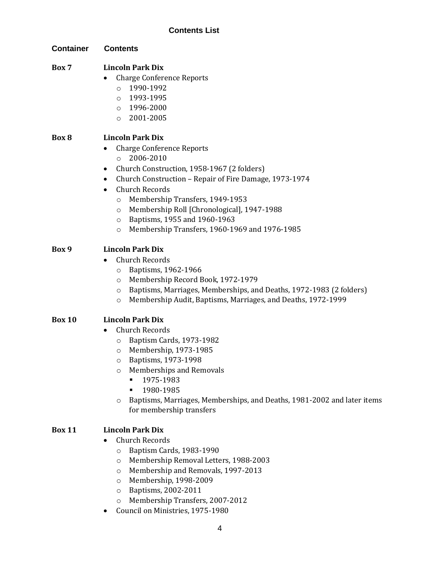| Container     | <b>Contents</b>                                                                    |
|---------------|------------------------------------------------------------------------------------|
| Box 7         | <b>Lincoln Park Dix</b>                                                            |
|               | <b>Charge Conference Reports</b>                                                   |
|               | 1990-1992<br>$\circ$                                                               |
|               | 1993-1995<br>$\circ$                                                               |
|               | 1996-2000<br>$\circ$                                                               |
|               | 2001-2005<br>$\circ$                                                               |
| Box 8         | <b>Lincoln Park Dix</b>                                                            |
|               | <b>Charge Conference Reports</b>                                                   |
|               | 2006-2010<br>$\circ$                                                               |
|               | Church Construction, 1958-1967 (2 folders)<br>٠                                    |
|               | Church Construction - Repair of Fire Damage, 1973-1974                             |
|               | <b>Church Records</b><br>$\bullet$                                                 |
|               | Membership Transfers, 1949-1953<br>$\circ$                                         |
|               | Membership Roll [Chronological], 1947-1988<br>O                                    |
|               | Baptisms, 1955 and 1960-1963<br>$\circ$                                            |
|               | Membership Transfers, 1960-1969 and 1976-1985<br>$\circ$                           |
| Box 9         | <b>Lincoln Park Dix</b>                                                            |
|               | <b>Church Records</b>                                                              |
|               | Baptisms, 1962-1966<br>O                                                           |
|               | Membership Record Book, 1972-1979<br>$\circ$                                       |
|               | Baptisms, Marriages, Memberships, and Deaths, 1972-1983 (2 folders)<br>O           |
|               | Membership Audit, Baptisms, Marriages, and Deaths, 1972-1999<br>$\circ$            |
| <b>Box 10</b> | <b>Lincoln Park Dix</b>                                                            |
|               | <b>Church Records</b>                                                              |
|               | Baptism Cards, 1973-1982<br>O                                                      |
|               | Membership, 1973-1985<br>O                                                         |
|               | Baptisms, 1973-1998<br>O                                                           |
|               | <b>Memberships and Removals</b><br>$\circ$                                         |
|               | 1975-1983                                                                          |
|               | 1980-1985                                                                          |
|               | Baptisms, Marriages, Memberships, and Deaths, 1981-2002 and later items<br>$\circ$ |
|               | for membership transfers                                                           |
| <b>Box 11</b> | <b>Lincoln Park Dix</b>                                                            |
|               | <b>Church Records</b>                                                              |
|               | Baptism Cards, 1983-1990<br>$\circ$                                                |
|               | Membership Removal Letters, 1988-2003<br>$\circ$                                   |
|               | Membership and Removals, 1997-2013<br>O                                            |
|               | Membership, 1998-2009<br>$\circ$                                                   |
|               | Baptisms, 2002-2011<br>$\circ$                                                     |

- o Membership Transfers, 2007-2012
- Council on Ministries, 1975-1980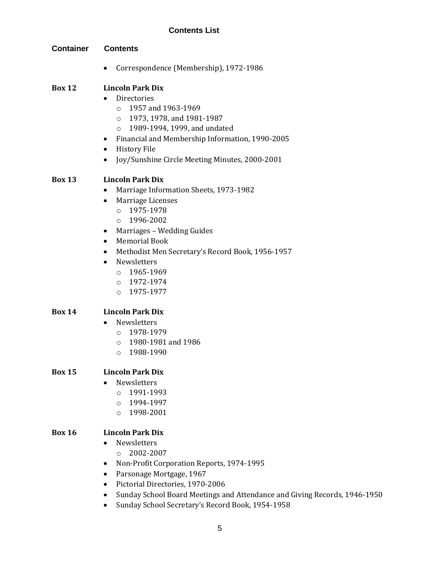| <b>Container</b>               | <b>Contents</b>                                                                                                                                                                                                                                                                                                                                                        |  |
|--------------------------------|------------------------------------------------------------------------------------------------------------------------------------------------------------------------------------------------------------------------------------------------------------------------------------------------------------------------------------------------------------------------|--|
|                                | Correspondence (Membership), 1972-1986                                                                                                                                                                                                                                                                                                                                 |  |
| <b>Box 12</b>                  | <b>Lincoln Park Dix</b><br>Directories<br>1957 and 1963-1969<br>$\circ$<br>1973, 1978, and 1981-1987<br>$\circ$<br>1989-1994, 1999, and undated<br>$\circ$<br>Financial and Membership Information, 1990-2005<br>٠<br><b>History File</b><br>٠<br>Joy/Sunshine Circle Meeting Minutes, 2000-2001                                                                       |  |
| <b>Box 13</b>                  | <b>Lincoln Park Dix</b><br>Marriage Information Sheets, 1973-1982<br>$\bullet$<br>Marriage Licenses<br>٠<br>$0 1975 - 1978$<br>1996-2002<br>$\circ$<br>Marriages - Wedding Guides<br>٠<br><b>Memorial Book</b><br>٠<br>Methodist Men Secretary's Record Book, 1956-1957<br>٠<br>Newsletters<br>$\bullet$<br>$0 1965 - 1969$<br>$0 1972 - 1974$<br>1975-1977<br>$\circ$ |  |
| <b>Box 14</b><br><b>Box 15</b> | <b>Lincoln Park Dix</b><br>Newsletters<br>1978-1979<br>$\circ$<br>1980-1981 and 1986<br>$\circ$<br>1988-1990<br>$\circ$<br><b>Lincoln Park Dix</b><br>Newsletters                                                                                                                                                                                                      |  |
|                                | 1991-1993<br>$\circ$<br>1994-1997<br>$\circ$<br>1998-2001<br>$\circ$                                                                                                                                                                                                                                                                                                   |  |
| <b>Box 16</b>                  | <b>Lincoln Park Dix</b><br>Newsletters<br>2002-2007<br>$\circ$<br>Non-Profit Corporation Reports, 1974-1995<br>٠<br>Parsonage Mortgage, 1967<br>Pictorial Directories, 1970-2006<br>٠                                                                                                                                                                                  |  |

- Sunday School Board Meetings and Attendance and Giving Records, 1946-1950
- Sunday School Secretary's Record Book, 1954-1958